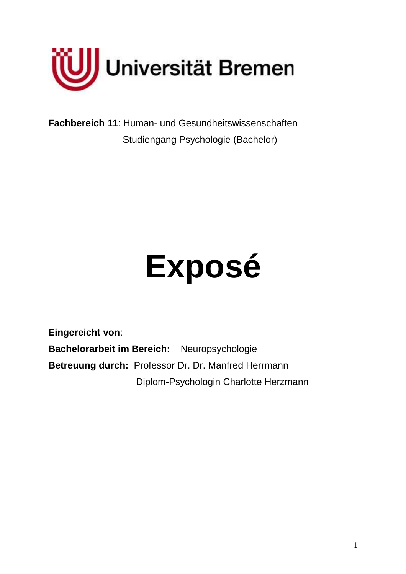

**Fachbereich 11**: Human- und Gesundheitswissenschaften Studiengang Psychologie (Bachelor)

# **Exposé**

**Eingereicht von**: **Bachelorarbeit im Bereich:** Neuropsychologie **Betreuung durch:** Professor Dr. Dr. Manfred Herrmann Diplom-Psychologin Charlotte Herzmann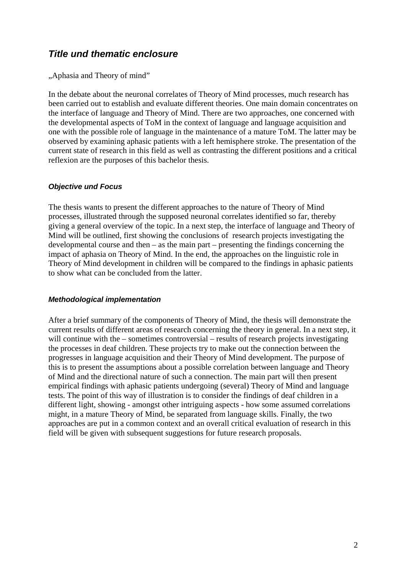## **Title und thematic enclosure**

"Aphasia and Theory of mind"

In the debate about the neuronal correlates of Theory of Mind processes, much research has been carried out to establish and evaluate different theories. One main domain concentrates on the interface of language and Theory of Mind. There are two approaches, one concerned with the developmental aspects of ToM in the context of language and language acquisition and one with the possible role of language in the maintenance of a mature ToM. The latter may be observed by examining aphasic patients with a left hemisphere stroke. The presentation of the current state of research in this field as well as contrasting the different positions and a critical reflexion are the purposes of this bachelor thesis.

#### **Objective und Focus**

The thesis wants to present the different approaches to the nature of Theory of Mind processes, illustrated through the supposed neuronal correlates identified so far, thereby giving a general overview of the topic. In a next step, the interface of language and Theory of Mind will be outlined, first showing the conclusions of research projects investigating the developmental course and then – as the main part – presenting the findings concerning the impact of aphasia on Theory of Mind. In the end, the approaches on the linguistic role in Theory of Mind development in children will be compared to the findings in aphasic patients to show what can be concluded from the latter.

#### **Methodological implementation**

After a brief summary of the components of Theory of Mind, the thesis will demonstrate the current results of different areas of research concerning the theory in general. In a next step, it will continue with the – sometimes controversial – results of research projects investigating the processes in deaf children. These projects try to make out the connection between the progresses in language acquisition and their Theory of Mind development. The purpose of this is to present the assumptions about a possible correlation between language and Theory of Mind and the directional nature of such a connection. The main part will then present empirical findings with aphasic patients undergoing (several) Theory of Mind and language tests. The point of this way of illustration is to consider the findings of deaf children in a different light, showing - amongst other intriguing aspects - how some assumed correlations might, in a mature Theory of Mind, be separated from language skills. Finally, the two approaches are put in a common context and an overall critical evaluation of research in this field will be given with subsequent suggestions for future research proposals.